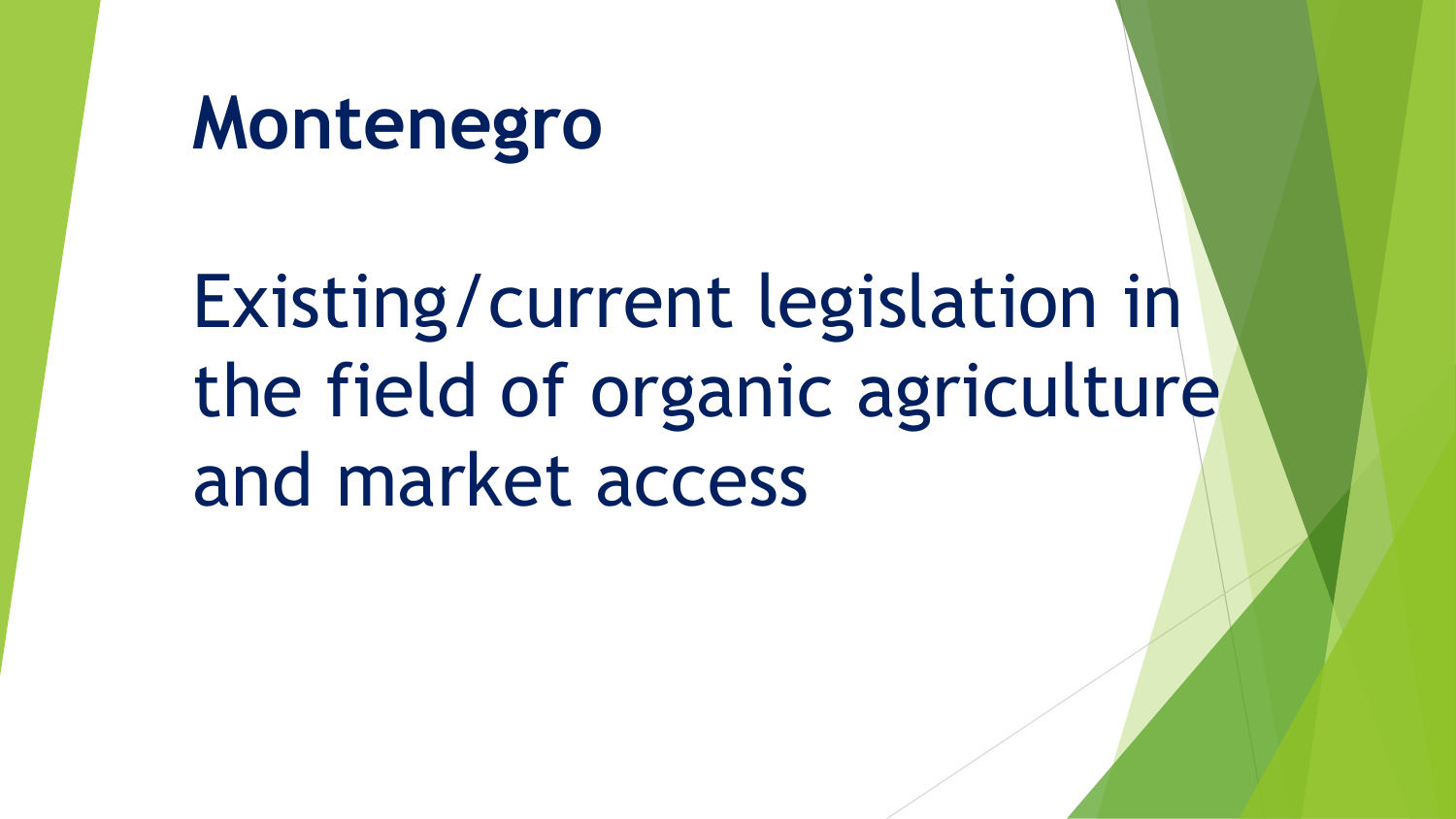## **Montenegro**

Existing/current legislation in the field of organic agriculture and market access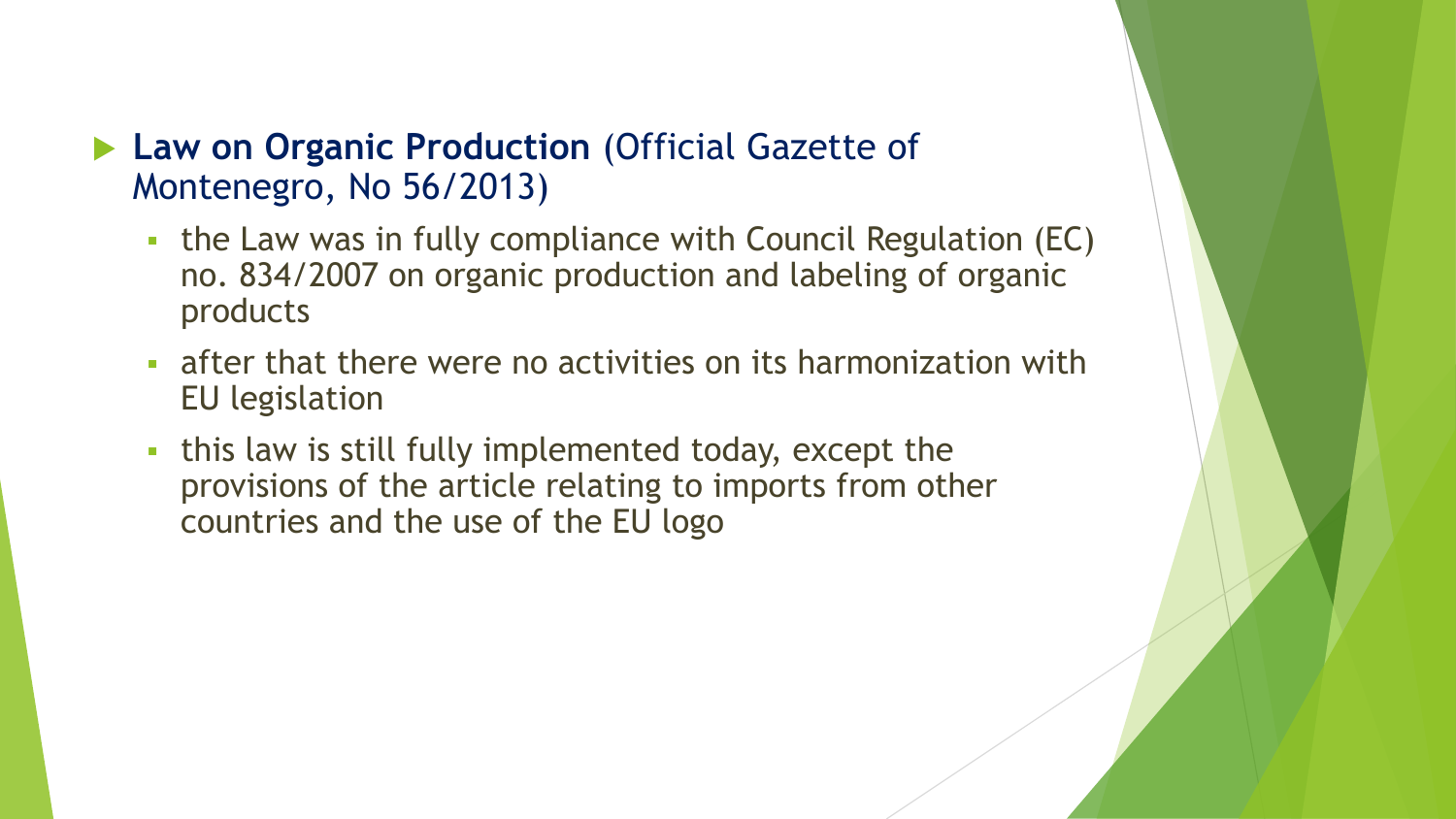## **Law on Organic Production** (Official Gazette of Montenegro, No 56/2013)

- the Law was in fully compliance with Council Regulation (EC) no. 834/2007 on organic production and labeling of organic products
- **Example 2 reafter that there were no activities on its harmonization with** EU legislation
- this law is still fully implemented today, except the provisions of the article relating to imports from other countries and the use of the EU logo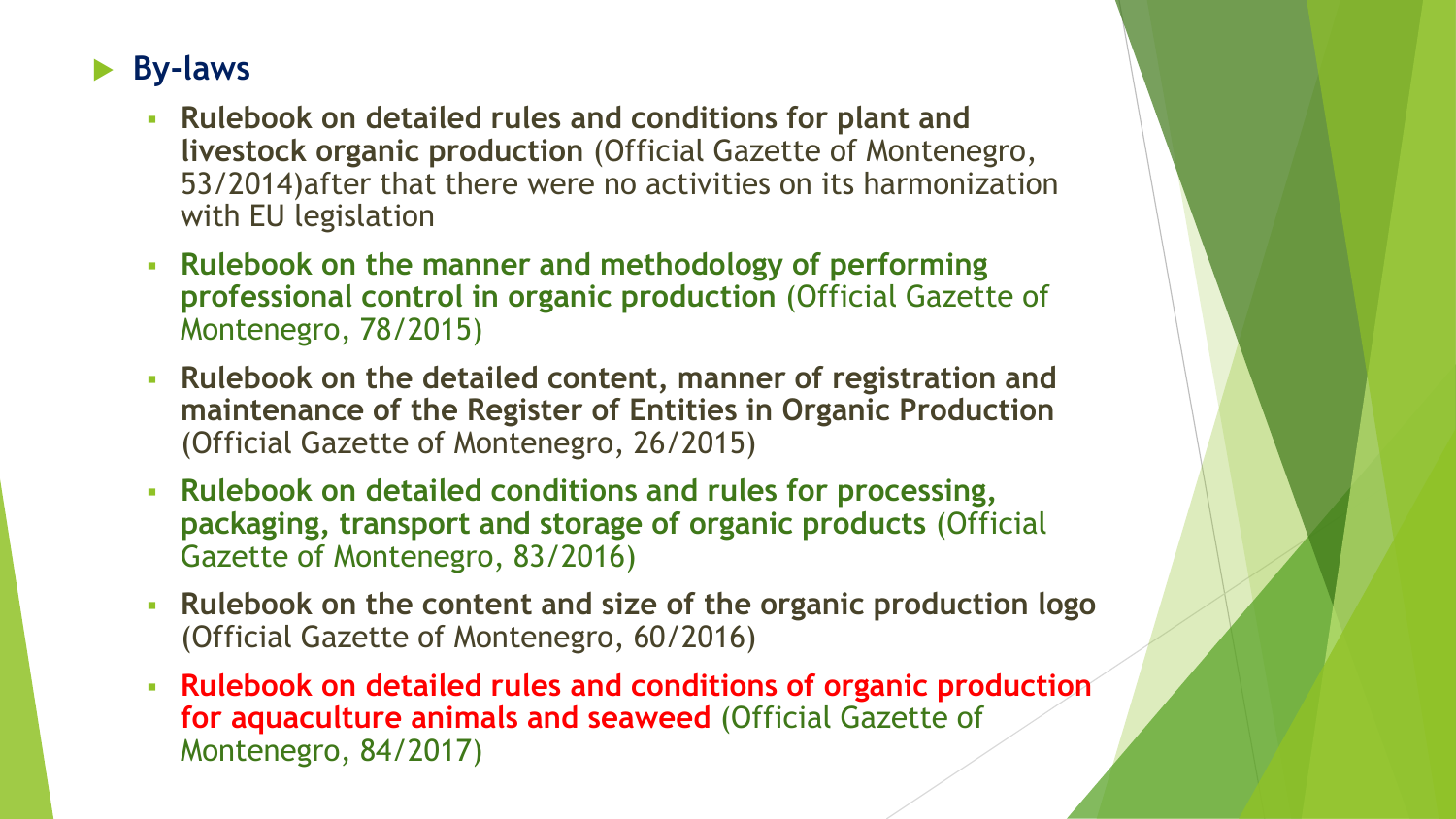## **By-laws**

- **Rulebook on detailed rules and conditions for plant and livestock organic production** (Official Gazette of Montenegro, 53/2014)after that there were no activities on its harmonization with EU legislation
- **Rulebook on the manner and methodology of performing professional control in organic production** (Official Gazette of Montenegro, 78/2015)
- **Rulebook on the detailed content, manner of registration and maintenance of the Register of Entities in Organic Production** (Official Gazette of Montenegro, 26/2015)
- **Rulebook on detailed conditions and rules for processing, packaging, transport and storage of organic products** (Official Gazette of Montenegro, 83/2016)
- **Rulebook on the content and size of the organic production logo**  (Official Gazette of Montenegro, 60/2016)
- **Rulebook on detailed rules and conditions of organic production for aquaculture animals and seaweed** (Official Gazette of Montenegro, 84/2017)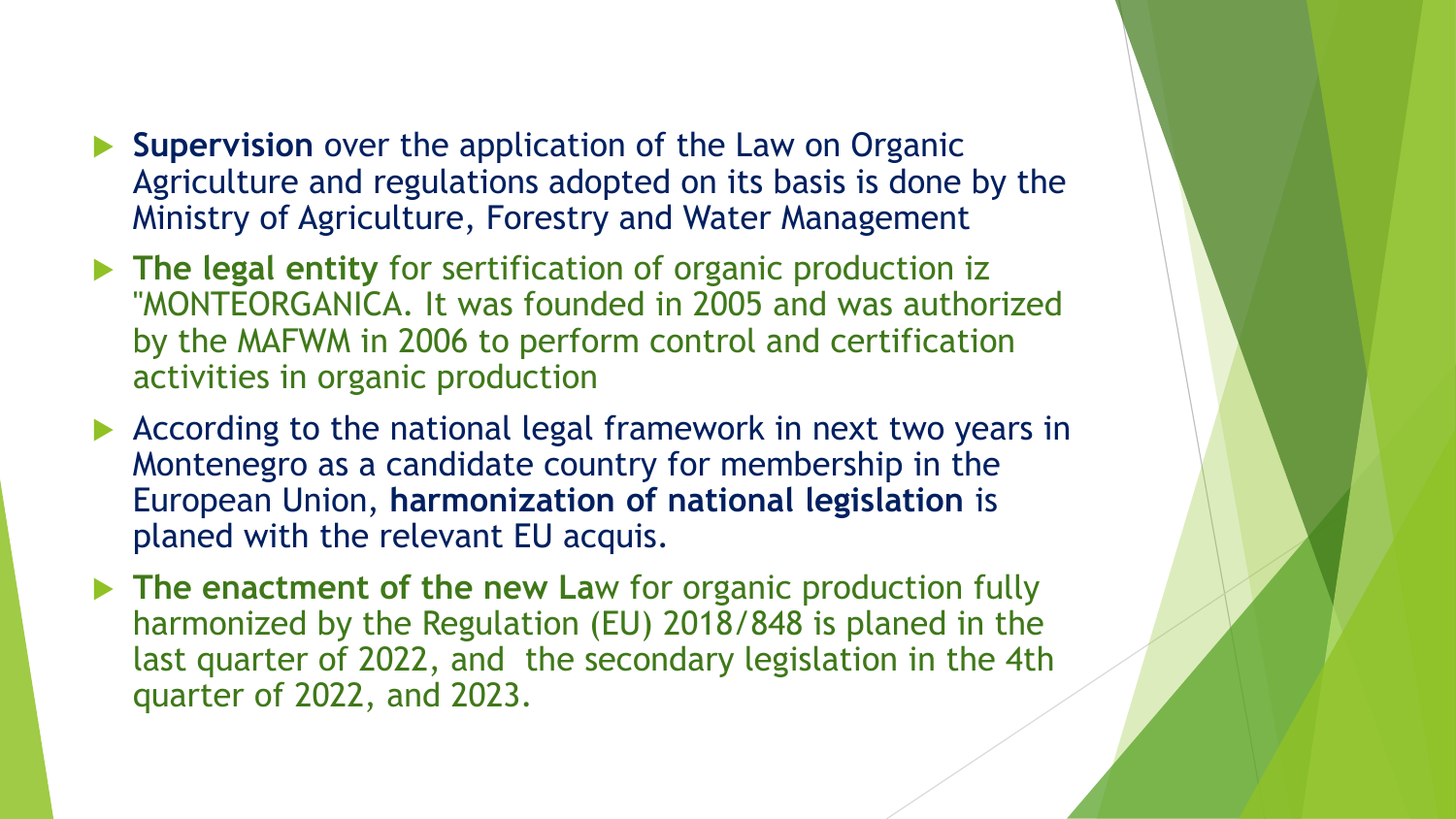- **Supervision** over the application of the Law on Organic Agriculture and regulations adopted on its basis is done by the Ministry of Agriculture, Forestry and Water Management
- **The legal entity** for sertification of organic production iz "MONTEORGANICA. It was founded in 2005 and was authorized by the MAFWM in 2006 to perform control and certification activities in organic production
- According to the national legal framework in next two years in Montenegro as a candidate country for membership in the European Union, **harmonization of national legislation** is planed with the relevant EU acquis.
- **The enactment of the new Law for organic production fully** harmonized by the Regulation (EU) 2018/848 is planed in the last quarter of 2022, and the secondary legislation in the 4th quarter of 2022, and 2023.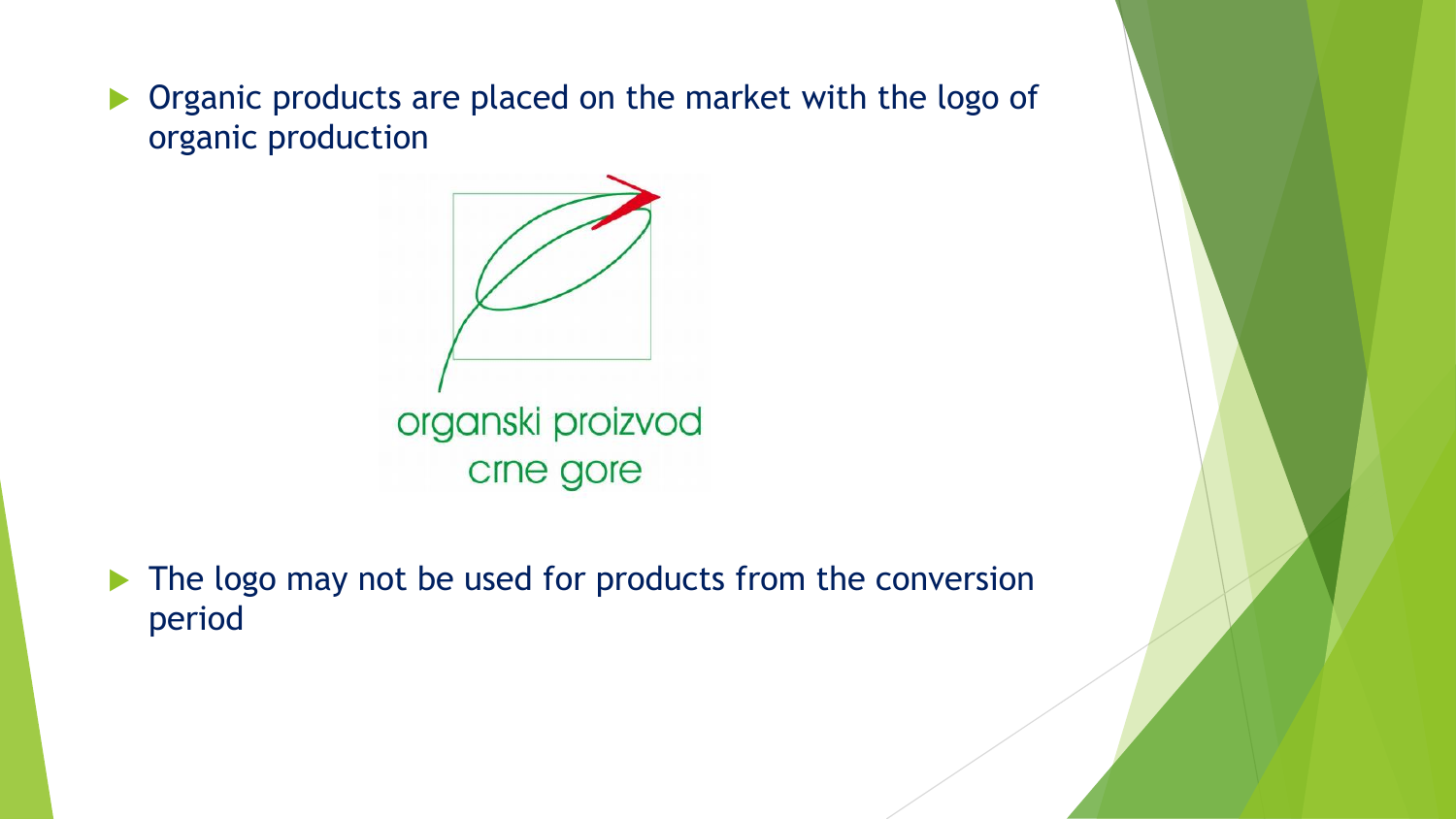**Departs** Creanic products are placed on the market with the logo of organic production



 $\blacktriangleright$  The logo may not be used for products from the conversion period